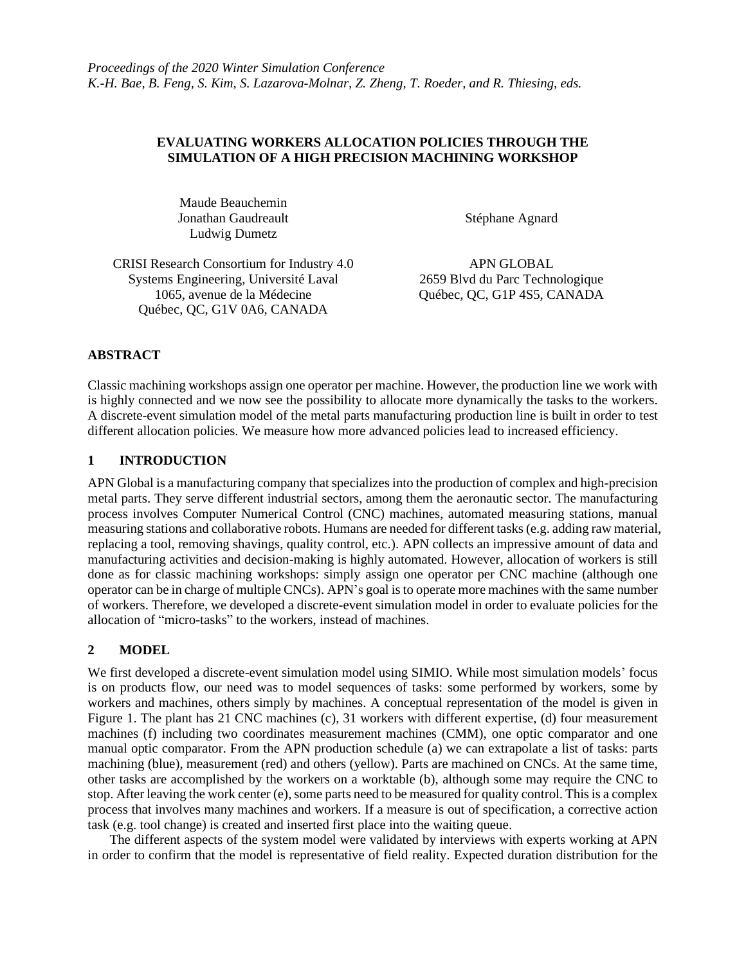#### **EVALUATING WORKERS ALLOCATION POLICIES THROUGH THE SIMULATION OF A HIGH PRECISION MACHINING WORKSHOP**

Maude Beauchemin Jonathan Gaudreault Ludwig Dumetz

Stéphane Agnard

CRISI Research Consortium for Industry 4.0 Systems Engineering, Université Laval 1065, avenue de la Médecine Québec, QC, G1V 0A6, CANADA

APN GLOBAL 2659 Blvd du Parc Technologique Québec, QC, G1P 4S5, CANADA

## **ABSTRACT**

Classic machining workshops assign one operator per machine. However, the production line we work with is highly connected and we now see the possibility to allocate more dynamically the tasks to the workers. A discrete-event simulation model of the metal parts manufacturing production line is built in order to test different allocation policies. We measure how more advanced policies lead to increased efficiency.

## **1 INTRODUCTION**

APN Global is a manufacturing company that specializes into the production of complex and high-precision metal parts. They serve different industrial sectors, among them the aeronautic sector. The manufacturing process involves Computer Numerical Control (CNC) machines, automated measuring stations, manual measuring stations and collaborative robots. Humans are needed for different tasks(e.g. adding raw material, replacing a tool, removing shavings, quality control, etc.). APN collects an impressive amount of data and manufacturing activities and decision-making is highly automated. However, allocation of workers is still done as for classic machining workshops: simply assign one operator per CNC machine (although one operator can be in charge of multiple CNCs). APN's goal is to operate more machines with the same number of workers. Therefore, we developed a discrete-event simulation model in order to evaluate policies for the allocation of "micro-tasks" to the workers, instead of machines.

# **2 MODEL**

We first developed a discrete-event simulation model using SIMIO. While most simulation models' focus is on products flow, our need was to model sequences of tasks: some performed by workers, some by workers and machines, others simply by machines. A conceptual representation of the model is given in Figure 1. The plant has 21 CNC machines (c), 31 workers with different expertise, (d) four measurement machines (f) including two coordinates measurement machines (CMM), one optic comparator and one manual optic comparator. From the APN production schedule (a) we can extrapolate a list of tasks: parts machining (blue), measurement (red) and others (yellow). Parts are machined on CNCs. At the same time, other tasks are accomplished by the workers on a worktable (b), although some may require the CNC to stop. After leaving the work center (e), some parts need to be measured for quality control. This is a complex process that involves many machines and workers. If a measure is out of specification, a corrective action task (e.g. tool change) is created and inserted first place into the waiting queue.

The different aspects of the system model were validated by interviews with experts working at APN in order to confirm that the model is representative of field reality. Expected duration distribution for the